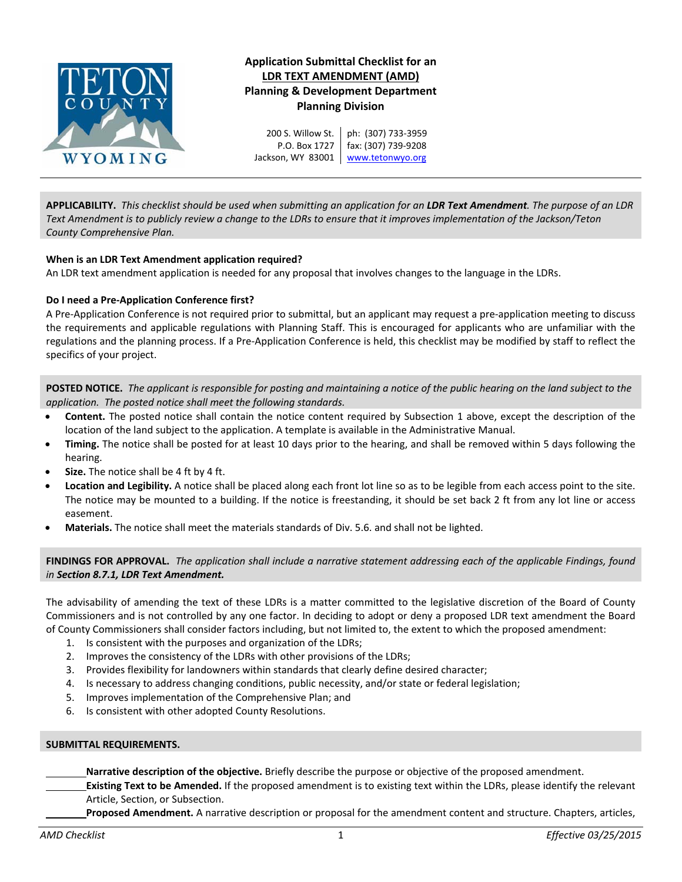

# **Application Submittal Checklist for an LDR TEXT AMENDMENT (AMD) Planning & Development Department Planning Division**

200 S. Willow St. P.O. Box 1727 Jackson, WY 83001 ph: (307) 733‐3959 fax: (307) 739‐9208 www.tetonwyo.org

APPLICABILITY. This checklist should be used when submitting an application for an LDR Text Amendment. The purpose of an LDR Text Amendment is to publicly review a change to the LDRs to ensure that it improves implementation of the Jackson/Teton *County Comprehensive Plan.*

### **When is an LDR Text Amendment application required?**

An LDR text amendment application is needed for any proposal that involves changes to the language in the LDRs.

#### **Do I need a Pre‐Application Conference first?**

A Pre‐Application Conference is not required prior to submittal, but an applicant may request a pre‐application meeting to discuss the requirements and applicable regulations with Planning Staff. This is encouraged for applicants who are unfamiliar with the regulations and the planning process. If a Pre‐Application Conference is held, this checklist may be modified by staff to reflect the specifics of your project.

POSTED NOTICE. The applicant is responsible for posting and maintaining a notice of the public hearing on the land subject to the *application. The posted notice shall meet the following standards.*

- **Content.** The posted notice shall contain the notice content required by Subsection 1 above, except the description of the location of the land subject to the application. A template is available in the Administrative Manual.
- **Timing.** The notice shall be posted for at least 10 days prior to the hearing, and shall be removed within 5 days following the hearing.
- **Size.** The notice shall be 4 ft by 4 ft.
- **Location and Legibility.** A notice shall be placed along each front lot line so as to be legible from each access point to the site. The notice may be mounted to a building. If the notice is freestanding, it should be set back 2 ft from any lot line or access easement.
- **Materials.** The notice shall meet the materials standards of Div. 5.6. and shall not be lighted.

## FINDINGS FOR APPROVAL. The application shall include a narrative statement addressing each of the applicable Findings, found *in Section 8.7.1, LDR Text Amendment.*

The advisability of amending the text of these LDRs is a matter committed to the legislative discretion of the Board of County Commissioners and is not controlled by any one factor. In deciding to adopt or deny a proposed LDR text amendment the Board of County Commissioners shall consider factors including, but not limited to, the extent to which the proposed amendment:

- 1. Is consistent with the purposes and organization of the LDRs;
- 2. Improves the consistency of the LDRs with other provisions of the LDRs;
- 3. Provides flexibility for landowners within standards that clearly define desired character;
- 4. Is necessary to address changing conditions, public necessity, and/or state or federal legislation;
- 5. Improves implementation of the Comprehensive Plan; and
- 6. Is consistent with other adopted County Resolutions.

#### **SUBMITTAL REQUIREMENTS.**

- **Narrative description of the objective.** Briefly describe the purpose or objective of the proposed amendment.
	- **Existing Text to be Amended.** If the proposed amendment is to existing text within the LDRs, please identify the relevant Article, Section, or Subsection.

**Proposed Amendment.** A narrative description or proposal for the amendment content and structure. Chapters, articles,